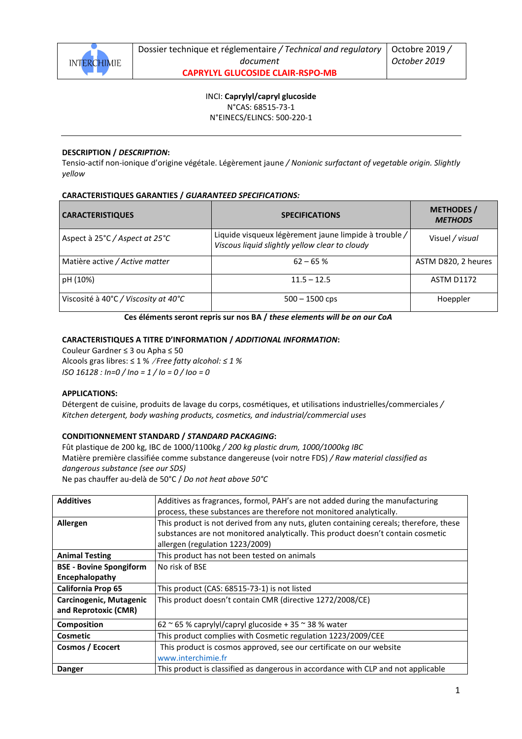

INCI: **Caprylyl/capryl glucoside** N°CAS: 68515-73-1

N°EINECS/ELINCS: 500-220-1

### **DESCRIPTION /** *DESCRIPTION***:**

Tensio-actif non-ionique d'origine végétale. Légèrement jaune */ Nonionic surfactant of vegetable origin. Slightly yellow* 

## **CARACTERISTIQUES GARANTIES /** *GUARANTEED SPECIFICATIONS:*

| <b>CARACTERISTIQUES</b>              | <b>SPECIFICATIONS</b>                                                                                   | <b>METHODES</b> /<br><b>METHODS</b> |
|--------------------------------------|---------------------------------------------------------------------------------------------------------|-------------------------------------|
| Aspect à 25°C / Aspect at 25°C       | Liquide visqueux légèrement jaune limpide à trouble /<br>Viscous liquid slightly yellow clear to cloudy | Visuel / visual                     |
| Matière active / Active matter       | $62 - 65%$                                                                                              | ASTM D820, 2 heures                 |
| pH (10%)                             | $11.5 - 12.5$                                                                                           | <b>ASTM D1172</b>                   |
| Viscosité à 40°C / Viscosity at 40°C | $500 - 1500$ cps                                                                                        | Hoeppler                            |

**Ces éléments seront repris sur nos BA /** *these elements will be on our CoA* 

### **CARACTERISTIQUES A TITRE D'INFORMATION /** *ADDITIONAL INFORMATION***:**

Couleur Gardner ≤ 3 ou Apha ≤ 50 Alcools gras libres: ≤ 1 % /*Free fatty alcohol: ≤ 1 % ISO 16128 : In=0 / Ino = 1 / Io = 0 / Ioo = 0* 

#### **APPLICATIONS:**

Détergent de cuisine, produits de lavage du corps, cosmétiques, et utilisations industrielles/commerciales */ Kitchen detergent, body washing products, cosmetics, and industrial/commercial uses*

#### **CONDITIONNEMENT STANDARD /** *STANDARD PACKAGING***:**

Fût plastique de 200 kg, IBC de 1000/1100kg */ 200 kg plastic drum, 1000/1000kg IBC* Matière première classifiée comme substance dangereuse (voir notre FDS) */ Raw material classified as dangerous substance (see our SDS)* 

Ne pas chauffer au-delà de 50°C / *Do not heat above 50°C* 

| <b>Additives</b>               | Additives as fragrances, formol, PAH's are not added during the manufacturing          |
|--------------------------------|----------------------------------------------------------------------------------------|
|                                | process, these substances are therefore not monitored analytically.                    |
| Allergen                       | This product is not derived from any nuts, gluten containing cereals; therefore, these |
|                                | substances are not monitored analytically. This product doesn't contain cosmetic       |
|                                | allergen (regulation 1223/2009)                                                        |
| <b>Animal Testing</b>          | This product has not been tested on animals                                            |
| <b>BSE</b> - Bovine Spongiform | No risk of BSE                                                                         |
| Encephalopathy                 |                                                                                        |
| California Prop 65             | This product (CAS: 68515-73-1) is not listed                                           |
| Carcinogenic, Mutagenic        | This product doesn't contain CMR (directive 1272/2008/CE)                              |
| and Reprotoxic (CMR)           |                                                                                        |
| <b>Composition</b>             | 62 ~ 65 % caprylyl/capryl glucoside + 35 ~ 38 % water                                  |
| Cosmetic                       | This product complies with Cosmetic regulation 1223/2009/CEE                           |
| Cosmos / Ecocert               | This product is cosmos approved, see our certificate on our website                    |
|                                | www.interchimie.fr                                                                     |
| Danger                         | This product is classified as dangerous in accordance with CLP and not applicable      |